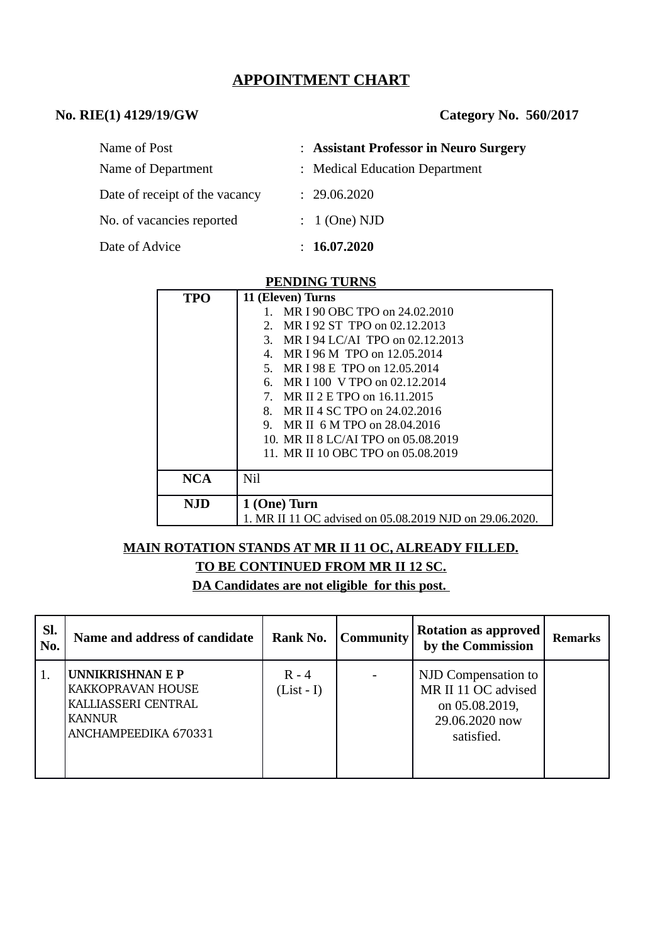## **APPOINTMENT CHART**

## **No. RIE(1) 4129/19/GW Category No. 560/2017**

| Name of Post                   | : Assistant Professor in Neuro Surgery |
|--------------------------------|----------------------------------------|
| Name of Department             | : Medical Education Department         |
| Date of receipt of the vacancy | : 29.06.2020                           |
| No. of vacancies reported      | $: 1$ (One) NJD                        |
| Date of Advice                 | : 16.07.2020                           |

#### **PENDING TURNS**

| TPO        | 11 (Eleven) Turns                                       |  |  |  |
|------------|---------------------------------------------------------|--|--|--|
|            | MR I 90 OBC TPO on 24.02.2010                           |  |  |  |
|            | MR I 92 ST TPO on 02.12.2013<br>$2^{\circ}$             |  |  |  |
|            | 3. MR I 94 LC/AI TPO on 02.12.2013                      |  |  |  |
|            | MR I 96 M TPO on 12.05.2014<br>4.                       |  |  |  |
|            | 5. MR I 98 E TPO on 12.05.2014                          |  |  |  |
|            | 6. MR I 100 V TPO on 02.12.2014                         |  |  |  |
|            | 7. MR II 2 E TPO on 16.11.2015                          |  |  |  |
|            | MR II 4 SC TPO on 24,02,2016<br>8.                      |  |  |  |
|            | MR II 6 M TPO on 28,04,2016<br>9.                       |  |  |  |
|            | 10. MR II 8 LC/AI TPO on 05.08.2019                     |  |  |  |
|            | 11. MR II 10 OBC TPO on 05.08.2019                      |  |  |  |
|            |                                                         |  |  |  |
| <b>NCA</b> | Nil                                                     |  |  |  |
| <b>NJD</b> | 1 (One) Turn                                            |  |  |  |
|            | 1. MR II 11 OC advised on 05.08.2019 NJD on 29.06.2020. |  |  |  |

# **MAIN ROTATION STANDS AT MR II 11 OC, ALREADY FILLED. TO BE CONTINUED FROM MR II 12 SC.**

**DA Candidates are not eligible for this post.** 

| Sl.<br>No. | Name and address of candidate                                                                                | Rank No.                | <b>Community</b> | <b>Rotation as approved</b><br>by the Commission                                             | <b>Remarks</b> |
|------------|--------------------------------------------------------------------------------------------------------------|-------------------------|------------------|----------------------------------------------------------------------------------------------|----------------|
|            | UNNIKRISHNAN E P<br><b>KAKKOPRAVAN HOUSE</b><br>KALLIASSERI CENTRAL<br><b>KANNUR</b><br>ANCHAMPEEDIKA 670331 | $R - 4$<br>$(List - I)$ |                  | NJD Compensation to<br>MR II 11 OC advised<br>on 05.08.2019,<br>29.06.2020 now<br>satisfied. |                |